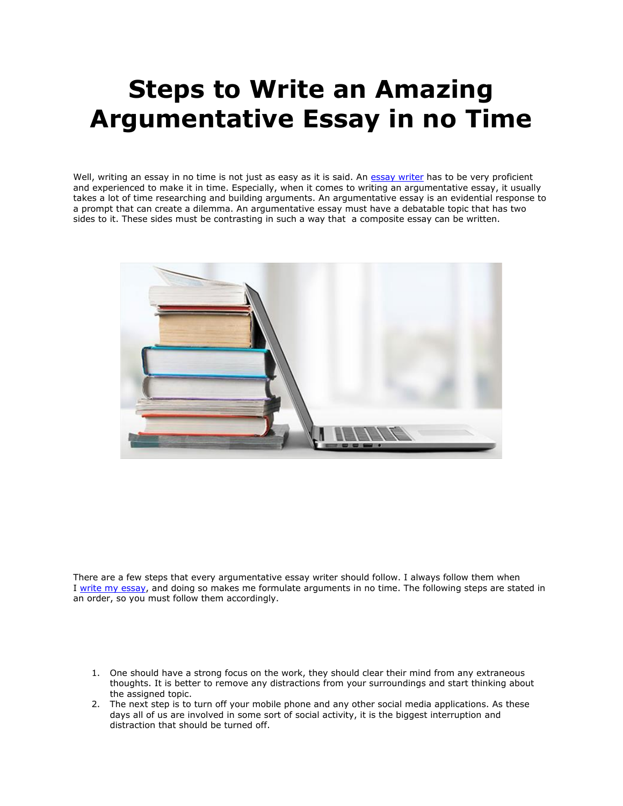## **Steps to Write an Amazing Argumentative Essay in no Time**

Well, writing an essay in no time is not just as easy as it is said. An [essay writer](https://www.essaywriter.college/) has to be very proficient and experienced to make it in time. Especially, when it comes to writing an argumentative essay, it usually takes a lot of time researching and building arguments. An argumentative essay is an evidential response to a prompt that can create a dilemma. An argumentative essay must have a debatable topic that has two sides to it. These sides must be contrasting in such a way that a composite essay can be written.



There are a few steps that every argumentative essay writer should follow. I always follow them when I [write my essay,](https://writemyessayfast.net/) and doing so makes me formulate arguments in no time. The following steps are stated in an order, so you must follow them accordingly.

- 1. One should have a strong focus on the work, they should clear their mind from any extraneous thoughts. It is better to remove any distractions from your surroundings and start thinking about the assigned topic.
- 2. The next step is to turn off your mobile phone and any other social media applications. As these days all of us are involved in some sort of social activity, it is the biggest interruption and distraction that should be turned off.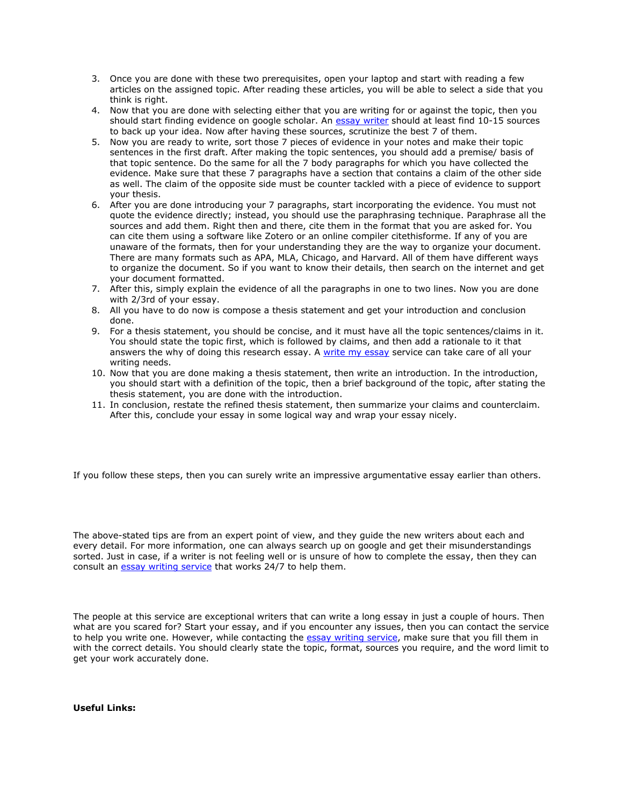- 3. Once you are done with these two prerequisites, open your laptop and start with reading a few articles on the assigned topic. After reading these articles, you will be able to select a side that you think is right.
- 4. Now that you are done with selecting either that you are writing for or against the topic, then you should start finding evidence on google scholar. An [essay writer](https://essaywriternow.com/) should at least find 10-15 sources to back up your idea. Now after having these sources, scrutinize the best 7 of them.
- 5. Now you are ready to write, sort those 7 pieces of evidence in your notes and make their topic sentences in the first draft. After making the topic sentences, you should add a premise/ basis of that topic sentence. Do the same for all the 7 body paragraphs for which you have collected the evidence. Make sure that these 7 paragraphs have a section that contains a claim of the other side as well. The claim of the opposite side must be counter tackled with a piece of evidence to support your thesis.
- 6. After you are done introducing your 7 paragraphs, start incorporating the evidence. You must not quote the evidence directly; instead, you should use the paraphrasing technique. Paraphrase all the sources and add them. Right then and there, cite them in the format that you are asked for. You can cite them using a software like Zotero or an online compiler citethisforme. If any of you are unaware of the formats, then for your understanding they are the way to organize your document. There are many formats such as APA, MLA, Chicago, and Harvard. All of them have different ways to organize the document. So if you want to know their details, then search on the internet and get your document formatted.
- 7. After this, simply explain the evidence of all the paragraphs in one to two lines. Now you are done with 2/3rd of your essay.
- 8. All you have to do now is compose a thesis statement and get your introduction and conclusion done.
- 9. For a thesis statement, you should be concise, and it must have all the topic sentences/claims in it. You should state the topic first, which is followed by claims, and then add a rationale to it that answers the why of doing this research essay. A [write my essay](https://essayhours.com/) service can take care of all your writing needs.
- 10. Now that you are done making a thesis statement, then write an introduction. In the introduction, you should start with a definition of the topic, then a brief background of the topic, after stating the thesis statement, you are done with the introduction.
- 11. In conclusion, restate the refined thesis statement, then summarize your claims and counterclaim. After this, conclude your essay in some logical way and wrap your essay nicely.

If you follow these steps, then you can surely write an impressive argumentative essay earlier than others.

The above-stated tips are from an expert point of view, and they guide the new writers about each and every detail. For more information, one can always search up on google and get their misunderstandings sorted. Just in case, if a writer is not feeling well or is unsure of how to complete the essay, then they can consult an **[essay writing service](https://www.essaywritingservice.college/)** that works 24/7 to help them.

The people at this service are exceptional writers that can write a long essay in just a couple of hours. Then what are you scared for? Start your essay, and if you encounter any issues, then you can contact the service to help you write one. However, while contacting the [essay writing service,](https://essayhours.com/) make sure that you fill them in with the correct details. You should clearly state the topic, format, sources you require, and the word limit to get your work accurately done.

**Useful Links:**